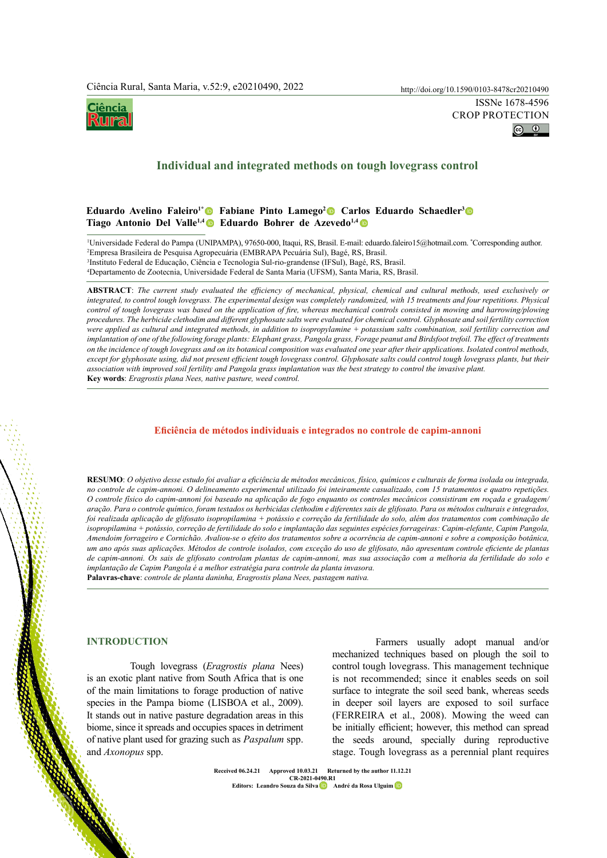`iência ko oraș



# **Individual and integrated methods on tough lovegrass control**

### **Eduardo Avelino Faleiro1[\\*](https://orcid.org/0000-0001-7779-7618) Fabiane Pinto Lamego2 Carlos Eduardo Schaedler3  Tiago Antonio Del Valle<sup>1,[4](https://orcid.org/0000-0002-4541-8043)</sup> • Eduardo Bohrer de Azevedo<sup>1,4</sup> •**

<sup>1</sup>Universidade Federal do Pampa (UNIPAMPA), 97650-000, Itaqui, RS, Brasil. E-mail: eduardo.faleiro15@hotmail.com. \*Corresponding author.<br><sup>2</sup>Empresa Brasileira de Pesquisa Agropecuária (EMBRAPA Pecuária Sul), Bagé, RS, Bra Empresa Brasileira de Pesquisa Agropecuária (EMBRAPA Pecuária Sul), Bagé, RS, Brasil.

3 Instituto Federal de Educação, Ciência e Tecnologia Sul-rio-grandense (IFSul), Bagé, RS, Brasil.

4 Departamento de Zootecnia, Universidade Federal de Santa Maria (UFSM), Santa Maria, RS, Brasil.

**ABSTRACT**: *The current study evaluated the efficiency of mechanical, physical, chemical and cultural methods, used exclusively or integrated, to control tough lovegrass. The experimental design was completely randomized, with 15 treatments and four repetitions. Physical control of tough lovegrass was based on the application of fire, whereas mechanical controls consisted in mowing and harrowing/plowing procedures. The herbicide clethodim and different glyphosate salts were evaluated for chemical control. Glyphosate and soil fertility correction were applied as cultural and integrated methods, in addition to isopropylamine + potassium salts combination, soil fertility correction and implantation of one of the following forage plants: Elephant grass, Pangola grass, Forage peanut and Birdsfoot trefoil. The effect of treatments on the incidence of tough lovegrass and on its botanical composition was evaluated one year after their applications. Isolated control methods, except for glyphosate using, did not present efficient tough lovegrass control. Glyphosate salts could control tough lovegrass plants, but their association with improved soil fertility and Pangola grass implantation was the best strategy to control the invasive plant.* **Key words**: *Eragrostis plana Nees, native pasture, weed control.*

#### **Eficiência de métodos individuais e integrados no controle de capim-annoni**

**RESUMO**: *O objetivo desse estudo foi avaliar a eficiência de métodos mecânicos, físico, químicos e culturais de forma isolada ou integrada, no controle de capim-annoni. O delineamento experimental utilizado foi inteiramente casualizado, com 15 tratamentos e quatro repetições. O controle físico do capim-annoni foi baseado na aplicação de fogo enquanto os controles mecânicos consistiram em roçada e gradagem/ aração. Para o controle químico, foram testados os herbicidas clethodim e diferentes sais de glifosato. Para os métodos culturais e integrados, foi realizada aplicação de glifosato isopropilamina + potássio e correção da fertilidade do solo, além dos tratamentos com combinação de isopropilamina + potássio, correção de fertilidade do solo e implantação das seguintes espécies forrageiras: Capim-elefante, Capim Pangola, Amendoim forrageiro e Cornichão. Avaliou-se o efeito dos tratamentos sobre a ocorrência de capim-annoni e sobre a composição botânica, um ano após suas aplicações. Métodos de controle isolados, com exceção do uso de glifosato, não apresentam controle eficiente de plantas de capim-annoni. Os sais de glifosato controlam plantas de capim-annoni, mas sua associação com a melhoria da fertilidade do solo e implantação de Capim Pangola é a melhor estratégia para controle da planta invasora.* **Palavras-chave**: *controle de planta daninha, Eragrostis plana Nees, pastagem nativa.*

### **INTRODUCTION**

Tough lovegrass (*Eragrostis plana* Nees) is an exotic plant native from South Africa that is one of the main limitations to forage production of native species in the Pampa biome (LISBOA et al., 2009). It stands out in native pasture degradation areas in this biome, since it spreads and occupies spaces in detriment of native plant used for grazing such as *Paspalum* spp. and *Axonopus* spp.

Farmers usually adopt manual and/or mechanized techniques based on plough the soil to control tough lovegrass. This management technique is not recommended; since it enables seeds on soil surface to integrate the soil seed bank, whereas seeds in deeper soil layers are exposed to soil surface (FERREIRA et al., 2008). Mowing the weed can be initially efficient; however, this method can spread the seeds around, specially during reproductive stage. Tough lovegrass as a perennial plant requires

**Ciência Rural, v.52, n.9, 2022. Received 06.24.21 Approved 10.03.21 Returned by the author 11.12.21 CR-2021-0490.R1**<br>uza da Silva **Dada André da Rosa Ulguim** D **Editors: Leandro Souz[a](https://orcid.org/0000-0002-1636-6643) da Silva**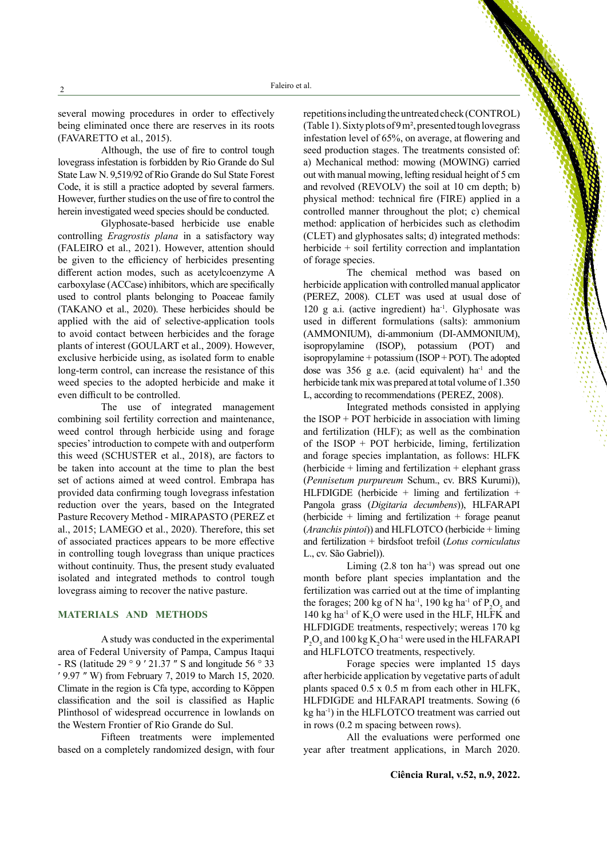several mowing procedures in order to effectively being eliminated once there are reserves in its roots (FAVARETTO et al., 2015).

Although, the use of fire to control tough lovegrass infestation is forbidden by Rio Grande do Sul State Law N. 9,519/92 of Rio Grande do Sul State Forest Code, it is still a practice adopted by several farmers. However, further studies on the use of fire to control the herein investigated weed species should be conducted.

Glyphosate-based herbicide use enable controlling *Eragrostis plana* in a satisfactory way (FALEIRO et al., 2021). However, attention should be given to the efficiency of herbicides presenting different action modes, such as acetylcoenzyme A carboxylase (ACCase) inhibitors, which are specifically used to control plants belonging to Poaceae family (TAKANO et al., 2020). These herbicides should be applied with the aid of selective-application tools to avoid contact between herbicides and the forage plants of interest (GOULART et al., 2009). However, exclusive herbicide using, as isolated form to enable long-term control, can increase the resistance of this weed species to the adopted herbicide and make it even difficult to be controlled.

The use of integrated management combining soil fertility correction and maintenance, weed control through herbicide using and forage species' introduction to compete with and outperform this weed (SCHUSTER et al., 2018), are factors to be taken into account at the time to plan the best set of actions aimed at weed control. Embrapa has provided data confirming tough lovegrass infestation reduction over the years, based on the Integrated Pasture Recovery Method - MIRAPASTO (PEREZ et al., 2015; LAMEGO et al., 2020). Therefore, this set of associated practices appears to be more effective in controlling tough lovegrass than unique practices without continuity. Thus, the present study evaluated isolated and integrated methods to control tough lovegrass aiming to recover the native pasture.

### **MATERIALS AND METHODS**

A study was conducted in the experimental area of Federal University of Pampa, Campus Itaqui - RS (latitude 29 ° 9 ′ 21.37 ″ S and longitude 56 ° 33 ′ 9.97 ″ W) from February 7, 2019 to March 15, 2020. Climate in the region is Cfa type, according to Köppen classification and the soil is classified as Haplic Plinthosol of widespread occurrence in lowlands on the Western Frontier of Rio Grande do Sul.

Fifteen treatments were implemented based on a completely randomized design, with four

repetitions including the untreated check (CONTROL) (Table 1). Sixty plots of 9 m², presented tough lovegrass infestation level of 65%, on average, at flowering and seed production stages. The treatments consisted of: a) Mechanical method: mowing (MOWING) carried out with manual mowing, lefting residual height of 5 cm and revolved (REVOLV) the soil at 10 cm depth; b) physical method: technical fire (FIRE) applied in a controlled manner throughout the plot; c) chemical method: application of herbicides such as clethodim (CLET) and glyphosates salts; d) integrated methods: herbicide + soil fertility correction and implantation of forage species.

The chemical method was based on herbicide application with controlled manual applicator (PEREZ, 2008). CLET was used at usual dose of 120 g a.i. (active ingredient) ha<sup>-1</sup>. Glyphosate was used in different formulations (salts): ammonium (AMMONIUM), di-ammonium (DI-AMMONIUM), isopropylamine (ISOP), potassium (POT) and isopropylamine + potassium (ISOP + POT). The adopted dose was  $356$  g a.e. (acid equivalent) ha<sup>-1</sup> and the herbicide tank mix was prepared at total volume of 1.350 L, according to recommendations (PEREZ, 2008).

Integrated methods consisted in applying the  $ISOP + POT$  herbicide in association with liming and fertilization (HLF); as well as the combination of the ISOP + POT herbicide, liming, fertilization and forage species implantation, as follows: HLFK (herbicide  $+$  liming and fertilization  $+$  elephant grass (*Pennisetum purpureum* Schum., cv. BRS Kurumi)), HLFDIGDE (herbicide + liming and fertilization + Pangola grass (*Digitaria decumbens*)), HLFARAPI (herbicide  $+$  liming and fertilization  $+$  forage peanut (*Aranchis pintoi*)) and HLFLOTCO (herbicide + liming and fertilization + birdsfoot trefoil (*Lotus corniculatus* L., cv. São Gabriel)).

Liming  $(2.8 \text{ ton ha}^{-1})$  was spread out one month before plant species implantation and the fertilization was carried out at the time of implanting the forages; 200 kg of N ha<sup>-1</sup>, 190 kg ha<sup>-1</sup> of  $P_2O_5$  and 140 kg ha<sup>-1</sup> of  $K_2O$  were used in the HLF, HLFK and HLFDIGDE treatments, respectively; wereas 170 kg  $P_2O_5$  and 100 kg  $K_2O$  ha<sup>-1</sup> were used in the HLFARAPI and HLFLOTCO treatments, respectively.

Forage species were implanted 15 days after herbicide application by vegetative parts of adult plants spaced 0.5 x 0.5 m from each other in HLFK, HLFDIGDE and HLFARAPI treatments. Sowing (6 kg ha-1) in the HLFLOTCO treatment was carried out in rows (0.2 m spacing between rows).

All the evaluations were performed one year after treatment applications, in March 2020.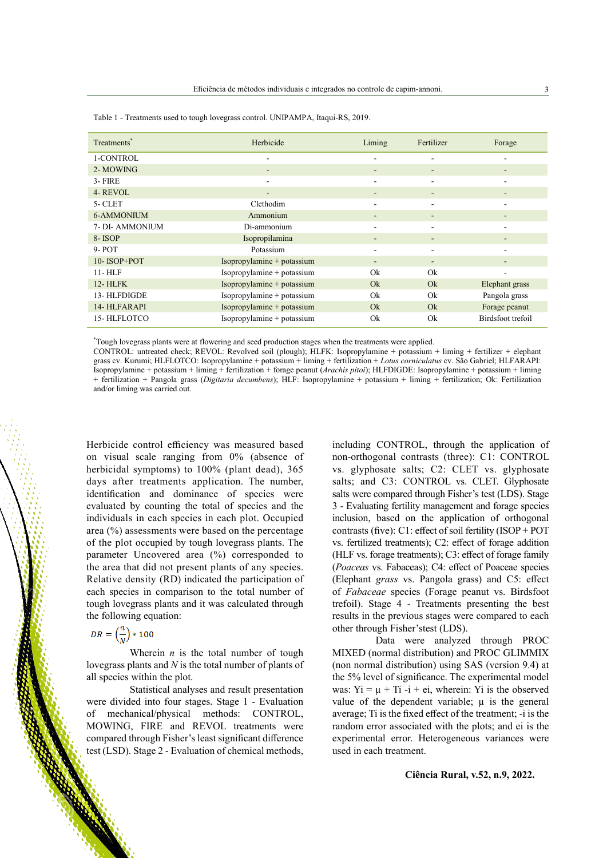| Treatments <sup>*</sup> | Herbicide                  | Liming                   | Fertilizer | Forage            |
|-------------------------|----------------------------|--------------------------|------------|-------------------|
| 1-CONTROL               | ۰                          | ۰                        |            |                   |
| 2-MOWING                | -                          | $\overline{\phantom{a}}$ | ٠          |                   |
| $3 - FIRE$              |                            | ۰                        |            |                   |
| 4-REVOL                 | ٠                          | -                        |            |                   |
| $5-CLET$                | Clethodim                  |                          |            |                   |
| 6-AMMONIUM              | Ammonium                   | -                        |            |                   |
| 7- DI- AMMONIUM         | Di-ammonium                | ۰                        |            |                   |
| 8-ISOP                  | Isopropilamina             | ٠                        |            |                   |
| $9-$ POT                | Potassium                  |                          |            |                   |
| 10-ISOP+POT             | Isopropylamine + potassium | -                        | ۰          |                   |
| $11 - HLF$              | Isopropylamine + potassium | Ok                       | Ok         |                   |
| <b>12-HLFK</b>          | Isopropylamine + potassium | Ok                       | Ok         | Elephant grass    |
| 13-HLFDIGDE             | Isopropylamine + potassium | Ok                       | Ok         | Pangola grass     |
| 14-HLFARAPI             | Isopropylamine + potassium | Ok                       | Qk         | Forage peanut     |
| 15-HLFLOTCO             | Isopropylamine + potassium | Ok                       | Ok         | Birdsfoot trefoil |

Table 1 - Treatments used to tough lovegrass control. UNIPAMPA, Itaqui-RS, 2019.

\* Tough lovegrass plants were at flowering and seed production stages when the treatments were applied.

CONTROL: untreated check; REVOL: Revolved soil (plough); HLFK: Isopropylamine + potassium + liming + fertilizer + elephant grass cv. Kurumi; HLFLOTCO: Isopropylamine + potassium + liming + fertilization + *Lotus corniculatus* cv. São Gabriel; HLFARAPI: Isopropylamine + potassium + liming + fertilization + forage peanut (*Arachis pitoi*); HLFDIGDE: Isopropylamine + potassium + liming + fertilization + Pangola grass (*Digitaria decumbens*); HLF: Isopropylamine + potassium + liming + fertilization; Ok: Fertilization and/or liming was carried out.

Herbicide control efficiency was measured based on visual scale ranging from 0% (absence of herbicidal symptoms) to 100% (plant dead), 365 days after treatments application. The number, identification and dominance of species were evaluated by counting the total of species and the individuals in each species in each plot. Occupied area (%) assessments were based on the percentage of the plot occupied by tough lovegrass plants. The parameter Uncovered area (%) corresponded to the area that did not present plants of any species. Relative density (RD) indicated the participation of each species in comparison to the total number of tough lovegrass plants and it was calculated through the following equation:

$$
DR = \left(\frac{n}{N}\right) * 100
$$

Wherein  $n$  is the total number of tough lovegrass plants and *N* is the total number of plants of all species within the plot.

Statistical analyses and result presentation were divided into four stages. Stage 1 - Evaluation of mechanical/physical methods: CONTROL, MOWING, FIRE and REVOL treatments were compared through Fisher's least significant difference test (LSD). Stage 2 - Evaluation of chemical methods,

including CONTROL, through the application of non-orthogonal contrasts (three): C1: CONTROL vs. glyphosate salts; C2: CLET vs. glyphosate salts; and C3: CONTROL vs. CLET. Glyphosate salts were compared through Fisher's test (LDS). Stage 3 - Evaluating fertility management and forage species inclusion, based on the application of orthogonal contrasts (five): C1: effect of soil fertility (ISOP + POT vs. fertilized treatments); C2: effect of forage addition (HLF vs. forage treatments); C3: effect of forage family (*Poaceas* vs. Fabaceas); C4: effect of Poaceae species (Elephant *grass* vs. Pangola grass) and C5: effect of *Fabaceae* species (Forage peanut vs. Birdsfoot trefoil). Stage 4 - Treatments presenting the best results in the previous stages were compared to each other through Fisher'stest (LDS).

Data were analyzed through PROC MIXED (normal distribution) and PROC GLIMMIX (non normal distribution) using SAS (version 9.4) at the 5% level of significance. The experimental model was:  $Yi = \mu + Ti - i + ei$ , wherein: Yi is the observed value of the dependent variable;  $\mu$  is the general average; Ti is the fixed effect of the treatment; -i is the random error associated with the plots; and ei is the experimental error. Heterogeneous variances were used in each treatment.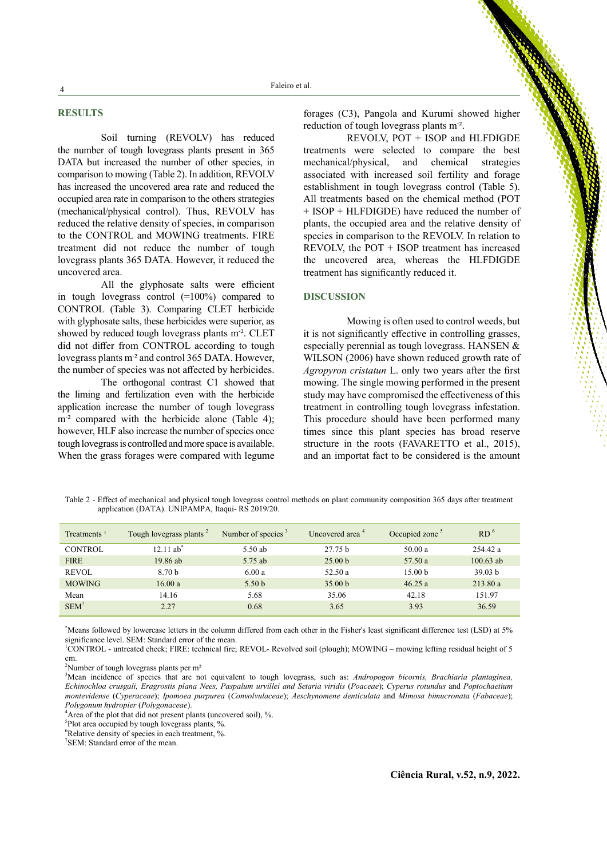# **RESULTS**

Soil turning (REVOLV) has reduced the number of tough lovegrass plants present in 365 DATA but increased the number of other species, in comparison to mowing (Table 2). In addition, REVOLV has increased the uncovered area rate and reduced the occupied area rate in comparison to the others strategies (mechanical/physical control). Thus, REVOLV has reduced the relative density of species, in comparison to the CONTROL and MOWING treatments. FIRE treatment did not reduce the number of tough lovegrass plants 365 DATA. However, it reduced the uncovered area.

All the glyphosate salts were efficient in tough lovegrass control (=100%) compared to CONTROL (Table 3). Comparing CLET herbicide with glyphosate salts, these herbicides were superior, as showed by reduced tough lovegrass plants m<sup>-2</sup>. CLET did not differ from CONTROL according to tough lovegrass plants m<sup>-2</sup> and control 365 DATA. However, the number of species was not affected by herbicides.

The orthogonal contrast C1 showed that the liming and fertilization even with the herbicide application increase the number of tough lovegrass m<sup>-2</sup> compared with the herbicide alone (Table 4); however, HLF also increase the number of species once tough lovegrass is controlled and more space is available. When the grass forages were compared with legume

forages (C3), Pangola and Kurumi showed higher reduction of tough lovegrass plants m<sup>-2</sup>.

REVOLV, POT + ISOP and HLFDIGDE treatments were selected to compare the best mechanical/physical, and chemical strategies associated with increased soil fertility and forage establishment in tough lovegrass control (Table 5). All treatments based on the chemical method (POT + ISOP + HLFDIGDE) have reduced the number of plants, the occupied area and the relative density of species in comparison to the REVOLV. In relation to REVOLV, the POT + ISOP treatment has increased the uncovered area, whereas the HLFDIGDE treatment has significantly reduced it.

#### **DISCUSSION**

Mowing is often used to control weeds, but it is not significantly effective in controlling grasses, especially perennial as tough lovegrass. HANSEN & WILSON (2006) have shown reduced growth rate of *Agropyron cristatun* L. only two years after the first mowing. The single mowing performed in the present study may have compromised the effectiveness of this treatment in controlling tough lovegrass infestation. This procedure should have been performed many times since this plant species has broad reserve structure in the roots (FAVARETTO et al., 2015), and an importat fact to be considered is the amount

Table 2 - Effect of mechanical and physical tough lovegrass control methods on plant community composition 365 days after treatment application (DATA). UNIPAMPA, Itaqui- RS 2019/20.

| Treatments <sup>1</sup> | Tough lovegrass plants <sup>2</sup> | Number of species $\frac{3}{2}$ | Uncovered area <sup>4</sup> | Occupied zone <sup>5</sup> | RD <sup>6</sup>    |
|-------------------------|-------------------------------------|---------------------------------|-----------------------------|----------------------------|--------------------|
| CONTROL                 | $12.11$ ab <sup>*</sup>             | $5.50$ ab                       | 27.75 <sub>b</sub>          | 50.00a                     | 254.42 a           |
| <b>FIRE</b>             | $19.86$ ab                          | 5.75 ab                         | 25.00 <sub>b</sub>          | 57.50 a                    | $100.63$ ab        |
| <b>REVOL</b>            | 8.70 <sub>b</sub>                   | 6.00a                           | 52.50a                      | 15.00 <sub>b</sub>         | 39.03 <sub>b</sub> |
| <b>MOWING</b>           | 16.00 a                             | 5.50 <sub>b</sub>               | 35.00 <sub>b</sub>          | 46.25a                     | 213.80a            |
| Mean                    | 14.16                               | 5.68                            | 35.06                       | 42.18                      | 151.97             |
| $SEM^7$                 | 2.27                                | 0.68                            | 3.65                        | 3.93                       | 36.59              |

\* Means followed by lowercase letters in the column differed from each other in the Fisher's least significant difference test (LSD) at 5% significance level. SEM: Standard error of the mean.

<sup>1</sup>CONTROL - untreated check; FIRE: technical fire; REVOL- Revolved soil (plough); MOWING – mowing lefting residual height of 5 cm.

<sup>2</sup>Number of tough lovegrass plants per m<sup>2</sup>

3 Mean incidence of species that are not equivalent to tough lovegrass, such as: *Andropogon bicornis, Brachiaria plantaginea, Echinochloa crusgali, Eragrostis plana Nees, Paspalum urvillei and Setaria viridis* (*Poaceae*); *Cyperus rotundus* and *Poptochaetium montevidense* (*Cyperaceae*); *Ipomoea purpurea* (*Convolvulaceae*); *Aeschynomene denticulata* and *Mimosa bimucronata* (*Fabaceae*); *Polygonum hydropier* (*Polygonaceae*). 4

Area of the plot that did not present plants (uncovered soil), %.

<sup>5</sup>Plot area occupied by tough lovegrass plants, %.

6 Relative density of species in each treatment, %.

7 SEM: Standard error of the mean.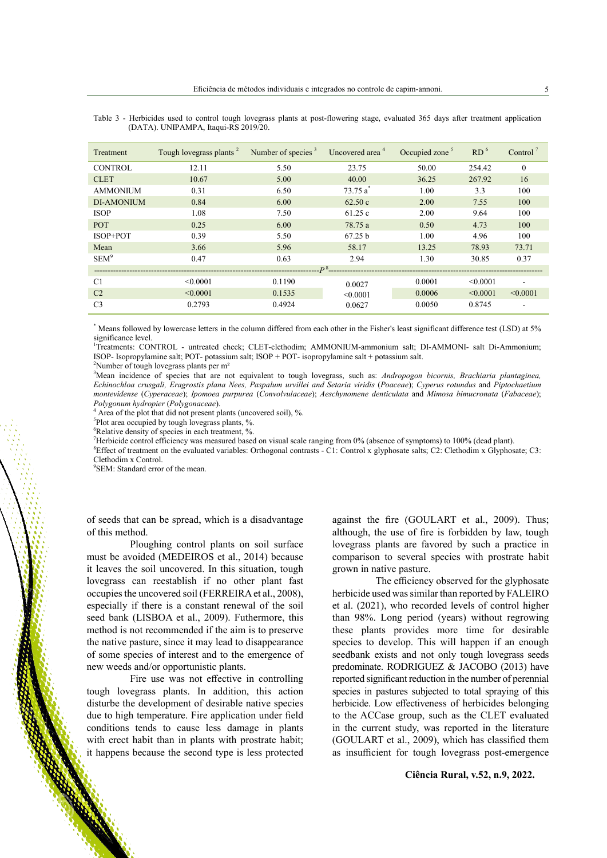| Treatment         | Tough lovegrass plants <sup>2</sup> | Number of species $3$ | Uncovered area <sup>4</sup> | Occupied zone <sup>5</sup> | RD <sup>6</sup> | Control <sup><math>\gamma</math></sup> |  |
|-------------------|-------------------------------------|-----------------------|-----------------------------|----------------------------|-----------------|----------------------------------------|--|
| CONTROL           | 12.11                               | 5.50                  | 23.75                       | 50.00                      | 254.42          | $\theta$                               |  |
| <b>CLET</b>       | 10.67                               | 5.00                  | 40.00                       | 36.25                      | 267.92          | 16                                     |  |
| <b>AMMONIUM</b>   | 0.31                                | 6.50                  | $73.75a^*$                  | 1.00                       | 3.3             | 100                                    |  |
| <b>DI-AMONIUM</b> | 0.84                                | 6.00                  | 62.50c                      | 2.00                       | 7.55            | 100                                    |  |
| <b>ISOP</b>       | 1.08                                | 7.50                  | 61.25c                      | 2.00                       | 9.64            | 100                                    |  |
| <b>POT</b>        | 0.25                                | 6.00                  | 78.75 a                     | 0.50                       | 4.73            | 100                                    |  |
| $ISOP+POT$        | 0.39                                | 5.50                  | 67.25 <sub>b</sub>          | 1.00                       | 4.96            | 100                                    |  |
| Mean              | 3.66                                | 5.96                  | 58.17                       | 13.25                      | 78.93           | 73.71                                  |  |
| SEM <sup>9</sup>  | 0.47                                | 0.63                  | 2.94                        | 1.30                       | 30.85           | 0.37                                   |  |
| n <sub>8</sub>    |                                     |                       |                             |                            |                 |                                        |  |
| C1                | < 0.0001                            | 0.1190                | 0.0027                      | 0.0001                     | < 0.0001        | ÷                                      |  |
| C <sub>2</sub>    | < 0.0001                            | 0.1535                | < 0.0001                    | 0.0006                     | < 0.0001        | < 0.0001                               |  |
| C <sub>3</sub>    | 0.2793                              | 0.4924                | 0.0627                      | 0.0050                     | 0.8745          | -                                      |  |

Table 3 - Herbicides used to control tough lovegrass plants at post-flowering stage, evaluated 365 days after treatment application (DATA). UNIPAMPA, Itaqui-RS 2019/20.

\* Means followed by lowercase letters in the column differed from each other in the Fisher's least significant difference test (LSD) at 5% significance level.<br>'Treatments: CONTROL - untreated check; CLET-clethodim; AMMONIUM-ammonium salt; DI-AMMONI- salt Di-Ammonium;

ISOP- Isopropylamine salt; POT- potassium salt; ISOP + POT- isopropylamine salt + potassium salt.

<sup>2</sup>Number of tough lovegrass plants per m<sup>2</sup>

<sup>3</sup>Mean incidence of species that are not equivalent to tough lovegrass, such as: *Andropogon bicornis, Brachiaria plantaginea*, *Echinochloa crusgali, Eragrostis plana Nees, Paspalum urvillei and Setaria viridis* (*Poaceae*); *Cyperus rotundus* and *Piptochaetium montevidense* (*Cyperaceae*); *Ipomoea purpurea* (*Convolvulaceae*); *Aeschynomene denticulata* and *Mimosa bimucronata* (*Fabaceae*);

Area of the plot that did not present plants (uncovered soil), %.

<sup>5</sup>Plot area occupied by tough lovegrass plants, %.

6 Relative density of species in each treatment, %.

7 Herbicide control efficiency was measured based on visual scale ranging from 0% (absence of symptoms) to 100% (dead plant).

<sup>8</sup>Effect of treatment on the evaluated variables: Orthogonal contrasts - C1: Control x glyphosate salts; C2: Clethodim x Glyphosate; C3: Clethodim x Control.

9 SEM: Standard error of the mean.

of seeds that can be spread, which is a disadvantage of this method.

Ploughing control plants on soil surface must be avoided (MEDEIROS et al., 2014) because it leaves the soil uncovered. In this situation, tough lovegrass can reestablish if no other plant fast occupies the uncovered soil (FERREIRA et al., 2008), especially if there is a constant renewal of the soil seed bank (LISBOA et al., 2009). Futhermore, this method is not recommended if the aim is to preserve the native pasture, since it may lead to disappearance of some species of interest and to the emergence of new weeds and/or opportunistic plants.

Fire use was not effective in controlling tough lovegrass plants. In addition, this action disturbe the development of desirable native species due to high temperature. Fire application under field conditions tends to cause less damage in plants with erect habit than in plants with prostrate habit; it happens because the second type is less protected

against the fire (GOULART et al., 2009). Thus; although, the use of fire is forbidden by law, tough lovegrass plants are favored by such a practice in comparison to several species with prostrate habit grown in native pasture.

The efficiency observed for the glyphosate herbicide used was similar than reported by FALEIRO et al. (2021), who recorded levels of control higher than 98%. Long period (years) without regrowing these plants provides more time for desirable species to develop. This will happen if an enough seedbank exists and not only tough lovegrass seeds predominate. RODRIGUEZ & JACOBO (2013) have reported significant reduction in the number of perennial species in pastures subjected to total spraying of this herbicide. Low effectiveness of herbicides belonging to the ACCase group, such as the CLET evaluated in the current study, was reported in the literature (GOULART et al., 2009), which has classified them as insufficient for tough lovegrass post-emergence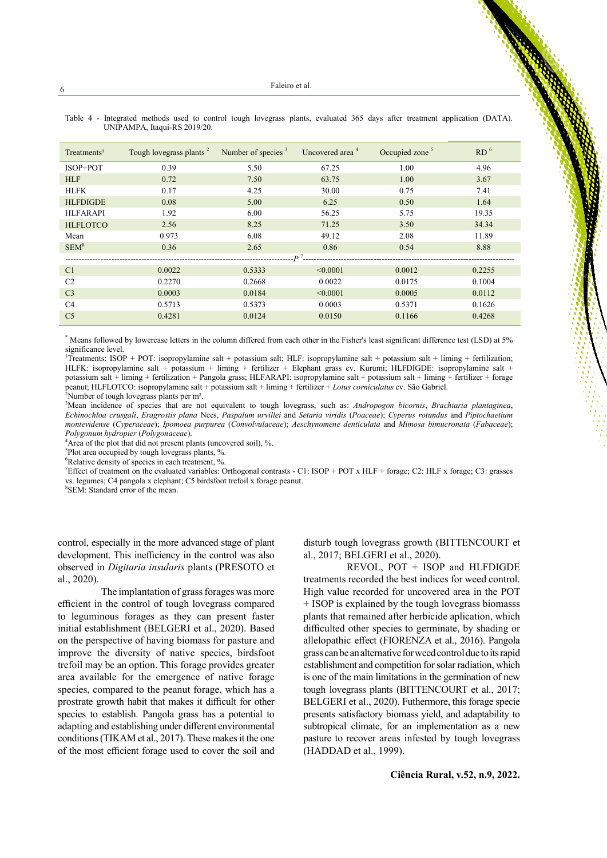| Treatments <sup>1</sup> | Tough lovegrass plants <sup>2</sup> | Number of species $3$ | Uncovered area <sup>4</sup> | Occupied zone <sup>5</sup> | RD <sup>6</sup> |  |  |
|-------------------------|-------------------------------------|-----------------------|-----------------------------|----------------------------|-----------------|--|--|
| ISOP+POT                | 0.39                                | 5.50                  | 67.25                       | 1.00                       | 4.96            |  |  |
| <b>HLF</b>              | 0.72                                | 7.50                  | 63.75                       | 1.00                       | 3.67            |  |  |
| <b>HLFK</b>             | 0.17                                | 4.25                  | 30.00                       | 0.75                       | 7.41            |  |  |
| <b>HLFDIGDE</b>         | 0.08                                | 5.00                  | 6.25                        | 0.50                       | 1.64            |  |  |
| <b>HLFARAPI</b>         | 1.92                                | 6.00                  | 56.25                       | 5.75                       | 19.35           |  |  |
| <b>HLFLOTCO</b>         | 2.56                                | 8.25                  | 71.25                       | 3.50                       | 34.34           |  |  |
| Mean                    | 0.973                               | 6.08                  | 49.12                       | 2.08                       | 11.89           |  |  |
| SEM <sup>8</sup>        | 0.36                                | 2.65                  | 0.86                        | 0.54                       | 8.88            |  |  |
| $\mathbf{p}^7$          |                                     |                       |                             |                            |                 |  |  |
| C <sub>1</sub>          | 0.0022                              | 0.5333                | < 0.0001                    | 0.0012                     | 0.2255          |  |  |
| C <sub>2</sub>          | 0.2270                              | 0.2668                | 0.0022                      | 0.0175                     | 0.1004          |  |  |
| C <sub>3</sub>          | 0.0003                              | 0.0184                | $\leq 0.0001$               | 0.0005                     | 0.0112          |  |  |
| C4                      | 0.5713                              | 0.5373                | 0.0003                      | 0.5371                     | 0.1626          |  |  |
| C <sub>5</sub>          | 0.4281                              | 0.0124                | 0.0150                      | 0.1166                     | 0.4268          |  |  |

Table 4 - Integrated methods used to control tough lovegrass plants, evaluated 365 days after treatment application (DATA). UNIPAMPA, Itaqui-RS 2019/20.

\* Means followed by lowercase letters in the column differed from each other in the Fisher's least significant difference test (LSD) at 5% significance level.<br>'Treatments: ISOP + POT: isopropylamine salt + potassium salt; HLF: isopropylamine salt + potassium salt + liming + fertilization;

HLFK: isopropylamine salt + potassium + liming + fertilizer + Elephant grass cv. Kurumi; HLFDIGDE: isopropylamine salt + potassium salt + liming + fertilization + Pangola grass; HLFARAPI: isopropylamine salt + potassium salt + liming + fertilizer + forage peanut; HLFLOTCO: isopropylamine salt + potassium salt + liming + fertilizer + *Lotus corniculatus* cv. São Gabriel.

<sup>2</sup>Number of tough lovegrass plants per m<sup>2</sup>.

3 Mean incidence of species that are not equivalent to tough lovegrass, such as: *Andropogon bicornis*, *Brachiaria plantaginea*, *Echinochloa crusgali*, *Eragrostis plana* Nees, *Paspalum urvillei* and *Setaria viridis* (*Poaceae*); *Cyperus rotundus* and *Piptochaetium montevidense* (*Cyperaceae*); *Ipomoea purpurea* (*Convolvulaceae*); *Aeschynomene denticulata* and *Mimosa bimucronata* (*Fabaceae*); *Polygonum hydropier* (*Polygonaceae*). 4

 $4$ Area of the plot that did not present plants (uncovered soil), %.

<sup>5</sup>Plot area occupied by tough lovegrass plants, %.

6 Relative density of species in each treatment, %.

7 Effect of treatment on the evaluated variables: Orthogonal contrasts - C1: ISOP + POT x HLF + forage; C2: HLF x forage; C3: grasses vs. legumes; C4 pangola x elephant; C5 birdsfoot trefoil x forage peanut. <sup>8</sup>

SEM: Standard error of the mean.

control, especially in the more advanced stage of plant development. This inefficiency in the control was also observed in *Digitaria insularis* plants (PRESOTO et al., 2020).

The implantation of grass forages was more efficient in the control of tough lovegrass compared to leguminous forages as they can present faster initial establishment (BELGERI et al., 2020). Based on the perspective of having biomass for pasture and improve the diversity of native species, birdsfoot trefoil may be an option. This forage provides greater area available for the emergence of native forage species, compared to the peanut forage, which has a prostrate growth habit that makes it difficult for other species to establish. Pangola grass has a potential to adapting and establishing under different environmental conditions (TIKAM et al., 2017). These makes it the one of the most efficient forage used to cover the soil and disturb tough lovegrass growth (BITTENCOURT et al., 2017; BELGERI et al., 2020).

REVOL, POT + ISOP and HLFDIGDE treatments recorded the best indices for weed control. High value recorded for uncovered area in the POT + ISOP is explained by the tough lovegrass biomasss plants that remained after herbicide aplication, which difficulted other species to germinate, by shading or allelopathic effect (FIORENZA et al., 2016). Pangola grass can be an alternative for weed control due to its rapid establishment and competition for solar radiation, which is one of the main limitations in the germination of new tough lovegrass plants (BITTENCOURT et al., 2017; BELGERI et al., 2020). Futhermore, this forage specie presents satisfactory biomass yield, and adaptability to subtropical climate, for an implementation as a new pasture to recover areas infested by tough lovegrass (HADDAD et al., 1999).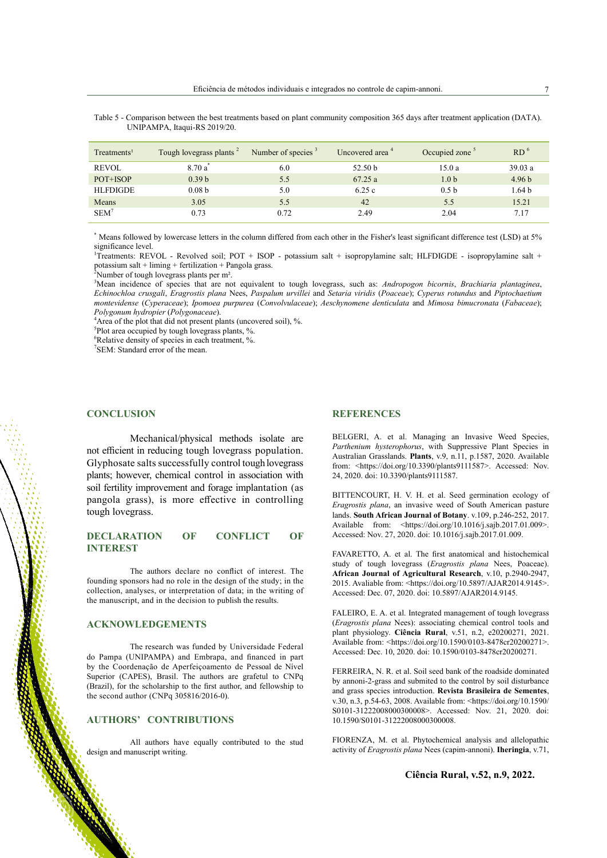| Treatments <sup>1</sup> | Tough lovegrass plants <sup>2</sup> | Number of species $3$ | Uncovered area <sup>4</sup> | Occupied zone <sup>5</sup> | RD <sup>6</sup>   |
|-------------------------|-------------------------------------|-----------------------|-----------------------------|----------------------------|-------------------|
| <b>REVOL</b>            | $8.70a^*$                           | 6.0                   | 52.50 <sub>b</sub>          | 15.0a                      | 39.03a            |
| POT+ISOP                | 0.39 <sub>b</sub>                   | 5.5                   | 67.25a                      | 1.0 <sub>b</sub>           | 4.96 <sub>b</sub> |
| <b>HLFDIGDE</b>         | 0.08 <sub>b</sub>                   | 5.0                   | 6.25c                       | 0.5 <sub>b</sub>           | 1.64 <sub>b</sub> |
| Means                   | 3.05                                | 5.5                   | 42                          | 5.5                        | 15.21             |
| $SEM^7$                 | 0.73                                | 0.72                  | 2.49                        | 2.04                       | 7.17              |

Table 5 - Comparison between the best treatments based on plant community composition 365 days after treatment application (DATA). UNIPAMPA, Itaqui-RS 2019/20.

Means followed by lowercase letters in the column differed from each other in the Fisher's least significant difference test (LSD) at 5% significance level.

<sup>1</sup>Treatments: REVOL - Revolved soil; POT + ISOP - potassium salt + isopropylamine salt; HLFDIGDE - isopropylamine salt + potassium salt + liming + fertilization + Pangola grass.<br><sup>2</sup>Number of touch lovegrass plants per m<sup>2</sup>

Number of tough lovegrass plants per m².

3 Mean incidence of species that are not equivalent to tough lovegrass, such as: *Andropogon bicornis*, *Brachiaria plantaginea*, *Echinochloa crusgali*, *Eragrostis plana* Nees, *Paspalum urvillei* and *Setaria viridis* (*Poaceae*); *Cyperus rotundus* and *Piptochaetium montevidense* (*Cyperaceae*); *Ipomoea purpurea* (*Convolvulaceae*); *Aeschynomene denticulata* and *Mimosa bimucronata* (*Fabaceae*); *Polygonum hydropier* (*Polygonaceae*). 4

 $4A$ rea of the plot that did not present plants (uncovered soil), %.

<sup>5</sup>Plot area occupied by tough lovegrass plants, %.

6 Relative density of species in each treatment, %.

<sup>7</sup>SEM: Standard error of the mean.

### **CONCLUSION**

Mechanical/physical methods isolate are not efficient in reducing tough lovegrass population. Glyphosate salts successfully control tough lovegrass plants; however, chemical control in association with soil fertility improvement and forage implantation (as pangola grass), is more effective in controlling tough lovegrass.

### **DECLARATION OF CONFLICT OF INTEREST**

The authors declare no conflict of interest. The founding sponsors had no role in the design of the study; in the collection, analyses, or interpretation of data; in the writing of the manuscript, and in the decision to publish the results.

### **ACKNOWLEDGEMENTS**

The research was funded by Universidade Federal do Pampa (UNIPAMPA) and Embrapa, and financed in part by the Coordenação de Aperfeiçoamento de Pessoal de Nível Superior (CAPES), Brasil. The authors are grafetul to CNPq (Brazil), for the scholarship to the first author, and fellowship to the second author (CNPq  $305816/2016-0$ ).

# **AUTHORS' CONTRIBUTIONS**

All authors have equally contributed to the stud design and manuscript writing.

#### **REFERENCES**

BELGERI, A. et al. Managing an Invasive Weed Species, *Parthenium hysterophorus*, with Suppressive Plant Species in Australian Grasslands. **Plants**, v.9, n.11, p.1587, 2020. Available from: <https://doi.org/10.3390/plants9111587>. Accessed: Nov. 24, 2020. [doi: 10.3390/plants9111587](https://doi.org/10.3390/plants9111587).

BITTENCOURT, H. V. H. et al. Seed germination ecology of *Eragrostis plana*, an invasive weed of South American pasture lands. **South African Journal of Botany**. v.109, p.246-252, 2017. Available from: <https://doi.org/10.1016/j.sajb.2017.01.009>. Accessed: Nov. 27, 2020. [doi: 10.1016/j.sajb.2017.01.009](https://doi.org/10.3390/plants9111587).

FAVARETTO, A. et al. The first anatomical and histochemical study of tough lovegrass (*Eragrostis plana* Nees, Poaceae). **African Journal of Agricultural Research**, v.10, p.2940-2947, 2015. Avaliable from: <https://doi.org/10.5897/AJAR2014.9145>. Accessed: Dec. 07, 2020. doi: 10.5897/AJAR2014.9145.

FALEIRO, E. A. et al. Integrated management of tough lovegrass (*Eragrostis plana* Nees): associating chemical control tools and plant physiology. **Ciência Rural**, v.51, n.2, e20200271, 2021. Available from: <https://doi.org/10.1590/0103-8478cr20200271>. Accessed: Dec. 10, 2020. doi: 10.1590/0103-8478cr20200271.

FERREIRA, N. R. et al. Soil seed bank of the roadside dominated by annoni-2-grass and submited to the control by soil disturbance and grass species introduction. **Revista Brasileira de Sementes**, v.30, n.3, p.54-63, 2008. Available from: [<https://doi.org/10.1590/](https://doi.org/10.1590/S0101-31222008000300008) [S0101-31222008000300008](https://doi.org/10.1590/S0101-31222008000300008)>. Accessed: Nov. 21, 2020. doi: 10.1590/S0101-31222008000300008.

FIORENZA, M. et al. Phytochemical analysis and allelopathic activity of *Eragrostis plana* Nees (capim-annoni). **Iheringia**, v.71,